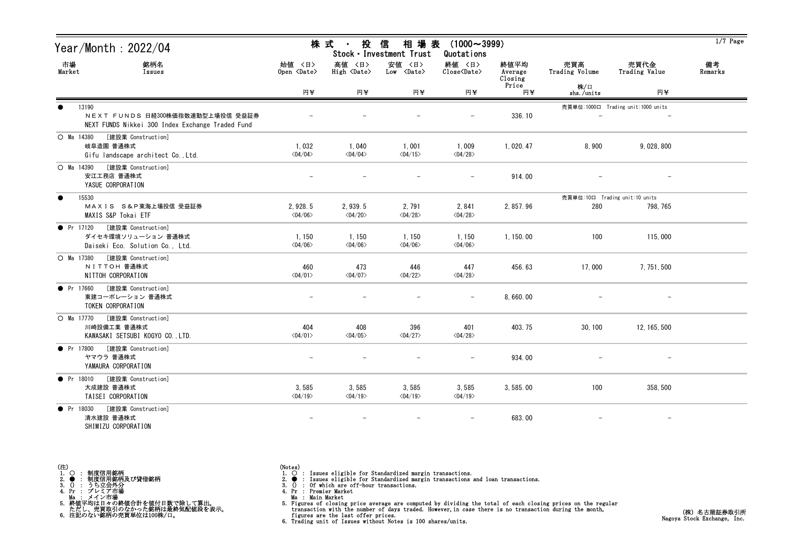| Year/Month: 2022/04                                                                                        |                                    | 株 式<br>投<br>$\sim$ 10 $\pm$         | 信<br>相 場 表<br>Stock · Investment Trust | $(1000 \sim 3999)$<br>Quotations |                            |                                |                                    | $1/7$ Page    |
|------------------------------------------------------------------------------------------------------------|------------------------------------|-------------------------------------|----------------------------------------|----------------------------------|----------------------------|--------------------------------|------------------------------------|---------------|
| 市場<br>銘柄名<br>Market<br>Issues                                                                              | 始値 〈日〉<br>Open <date></date>       | 高値 〈日〉<br>High <date></date>        | 安値 〈日〉<br>$Low$ $\langle Date \rangle$ | 終値 〈日〉<br>Close <date></date>    | 終値平均<br>Average<br>Closing | 売買高<br>Trading Volume          | 売買代金<br>Trading Value              | 備考<br>Remarks |
|                                                                                                            | 円半                                 | 円半                                  | 円半                                     | 円半                               | Price<br>円半                | 株/口<br>shs./units              | 円半                                 |               |
| 13190<br>$\bullet$<br>NEXT FUNDS 日経300株価指数連動型上場投信 受益証券<br>NEXT FUNDS Nikkei 300 Index Exchange Traded Fund |                                    |                                     |                                        |                                  | 336.10                     |                                | 売買単位:1000口 Trading unit:1000 units |               |
| [建設業 Construction]<br>$O$ Ma 14380<br>岐阜造園 普通株式<br>Gifu landscape architect Co., Ltd.                      | 1,032<br>$\langle 04/04 \rangle$   | 1,040<br>$<04/04>$                  | 1,001<br>$\langle 04/15 \rangle$       | 1,009<br>$\langle 04/28 \rangle$ | 1.020.47                   | 8,900                          | 9.028.800                          |               |
| [建設業 Construction]<br>O Ma 14390<br>安江工務店 普通株式<br>YASUE CORPORATION                                        |                                    |                                     |                                        | $\equiv$                         | 914.00                     |                                |                                    |               |
| 15530<br>$\bullet$                                                                                         |                                    |                                     |                                        |                                  |                            | 売買単位:10口 Trading unit:10 units |                                    |               |
| MAXIS S&P東海上場投信 受益証券<br>MAXIS S&P Tokai ETF                                                                | 2.928.5<br>$\langle 04/06 \rangle$ | 2, 939.5<br>$\langle 04/20 \rangle$ | 2,791<br>$\langle 04/28 \rangle$       | 2,841<br>$\langle 04/28 \rangle$ | 2, 857.96                  | 280                            | 798, 765                           |               |
| ● Pr 17120 [建設業 Construction]<br>ダイセキ環境ソリューション 普通株式<br>Daiseki Eco. Solution Co., Ltd.                     | 1, 150<br>$\langle 04/06 \rangle$  | 1,150<br>$\langle 04/06 \rangle$    | 1,150<br>$\langle 04/06 \rangle$       | 1,150<br>$\langle 04/06 \rangle$ | 1, 150.00                  | 100                            | 115,000                            |               |
| [建設業 Construction]<br>$O$ Ma 17380<br>NITTOH 普通株式<br>NITTOH CORPORATION                                    | 460<br>$\langle 04/01 \rangle$     | 473<br>$\langle 04/07 \rangle$      | 446<br>$\langle 04/22 \rangle$         | 447<br>$\langle 04/28 \rangle$   | 456.63                     | 17,000                         | 7, 751, 500                        |               |
| $\bullet$ Pr 17660<br>[建設業 Construction]<br>東建コーポレーション 普通株式<br>TOKEN CORPORATION                           |                                    |                                     |                                        | $\overline{\phantom{0}}$         | 8,660.00                   |                                |                                    |               |
| O Ma 17770<br>[建設業 Construction]<br>川崎設備工業 普通株式<br>KAWASAKI SETSUBI KOGYO CO., LTD.                        | 404<br>$\langle 04/01 \rangle$     | 408<br>$\langle 04/05 \rangle$      | 396<br>$\langle 04/27 \rangle$         | 401<br>$\langle 04/28 \rangle$   | 403.75                     | 30, 100                        | 12, 165, 500                       |               |
| $\bullet$ Pr 17800<br>[建設業 Construction]<br>ヤマウラ 普通株式<br>YAMAURA CORPORATION                               |                                    |                                     |                                        |                                  | 934.00                     |                                |                                    |               |
| [建設業 Construction]<br>$\bullet$ Pr 18010<br>大成建設 普通株式<br>TAISEI CORPORATION                                | 3,585<br>$\langle 04/19 \rangle$   | 3,585<br>$\langle 04/19 \rangle$    | 3,585<br>$\langle 04/19 \rangle$       | 3,585<br>$\langle 04/19 \rangle$ | 3, 585.00                  | 100                            | 358, 500                           |               |
| [建設業 Construction]<br>$\bullet$ Pr 18030<br>清水建設 普通株式<br>SHIMIZU CORPORATION                               |                                    |                                     |                                        |                                  | 683.00                     |                                |                                    |               |

(Notes)<br>1. ○ : Issues eligible for Standardized margin transactions.<br>2. ● : Issues eligible for Standardized margin transactions and loan transactions.<br>3. () : Of which are off-hour transactions.<br>4. Pr : Premier Market

Ma : Main Market

5. Figures of closing price average are computed by dividing the total of each closing prices on the regular transaction with the number of days traded. However, in case there is no transaction during the month,<br>figures ar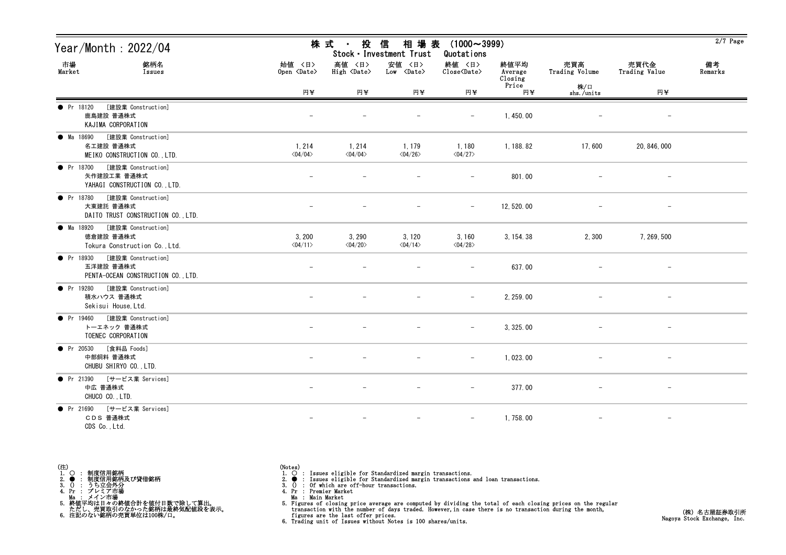| Year/Month : 2022/04                                                               |                                   | 株 式 -<br>投                        | 信<br>相場表<br>Stock · Investment Trust       | $(1000 \sim 3999)$<br>Quotations |                            |                       |                          | $2/7$ Page    |
|------------------------------------------------------------------------------------|-----------------------------------|-----------------------------------|--------------------------------------------|----------------------------------|----------------------------|-----------------------|--------------------------|---------------|
| 市場<br>Market<br>銘柄名<br>Issues                                                      | 始値 〈日〉<br>Open <date></date>      | 高値 〈日〉<br>High <date></date>      | 安値 〈日〉<br>$Low \cong \langle Date \rangle$ | 終値 〈日〉<br>Close <date></date>    | 終値平均<br>Average<br>Closing | 売買高<br>Trading Volume | 売買代金<br>Trading Value    | 備考<br>Remarks |
|                                                                                    | 円半                                | H¥                                | 円半                                         | 円半                               | Price<br>円半                | 株/口<br>shs./units     | 円半                       |               |
| • Pr 18120<br>[建設業 Construction]<br>鹿島建設 普通株式<br>KAJIMA CORPORATION                |                                   |                                   |                                            | $\qquad \qquad -$                | 1,450.00                   |                       |                          |               |
| [建設業 Construction]<br>• Ma 18690<br>名工建設 普通株式<br>MEIKO CONSTRUCTION CO., LTD.      | 1, 214<br>$\langle 04/04 \rangle$ | 1, 214<br>$\langle 04/04 \rangle$ | 1, 179<br>$\langle 04/26 \rangle$          | 1,180<br>$\langle 04/27 \rangle$ | 1, 188. 82                 | 17,600                | 20, 846, 000             |               |
| [建設業 Construction]<br>• Pr $18700$<br>矢作建設工業 普通株式<br>YAHAGI CONSTRUCTION CO., LTD. |                                   |                                   |                                            |                                  | 801.00                     |                       |                          |               |
| ● Pr 18780 [建設業 Construction]<br>大東建託 普通株式<br>DAITO TRUST CONSTRUCTION CO., LTD.   |                                   |                                   |                                            | $\overline{\phantom{0}}$         | 12, 520.00                 |                       | $\overline{\phantom{m}}$ |               |
| ● Ma 18920 [建設業 Construction]<br>徳倉建設 普通株式<br>Tokura Construction Co., Ltd.        | 3, 200<br>$\langle 04/11 \rangle$ | 3, 290<br>$\langle 04/20 \rangle$ | 3, 120<br>$\langle 04/14 \rangle$          | 3,160<br>$\langle 04/28 \rangle$ | 3, 154. 38                 | 2,300                 | 7, 269, 500              |               |
| ● Pr 18930 [建設業 Construction]<br>五洋建設 普通株式<br>PENTA-OCEAN CONSTRUCTION CO., LTD.   |                                   |                                   |                                            | $\qquad \qquad -$                | 637.00                     |                       |                          |               |
| [建設業 Construction]<br><b>O</b> Pr 19280<br>積水ハウス 普通株式<br>Sekisui House, Ltd.       |                                   |                                   |                                            | $\qquad \qquad -$                | 2, 259.00                  |                       |                          |               |
| ● Pr 19460 [建設業 Construction]<br>トーエネック 普通株式<br>TOENEC CORPORATION                 |                                   |                                   |                                            | $\overline{\phantom{0}}$         | 3, 325.00                  |                       |                          |               |
| [食料品 Foods]<br>$\bullet$ Pr 20530<br>中部飼料 普通株式<br>CHUBU SHIRYO CO., LTD.           |                                   |                                   |                                            |                                  | 1,023.00                   |                       |                          |               |
| ● Pr 21390 [サービス業 Services]<br>中広 普通株式<br>CHUCO CO., LTD.                          |                                   |                                   |                                            | $\qquad \qquad -$                | 377.00                     |                       | $-$                      |               |
| ● Pr 21690 [サービス業 Services]<br>CDS 普通株式<br>CDS Co., Ltd.                           |                                   |                                   |                                            | $\overline{\phantom{m}}$         | 1,758.00                   |                       | $\overline{\phantom{a}}$ |               |

- 
- (Notes)<br>1. : Issues eligible for Standardized margin transactions.<br>2. : Issues eligible for Standardized margin transactions and loan transactions.<br>3. () : Of which are off-hour transactions.<br>4. Pr : Premier Market
- 
- 
- Ma : Main Market
- 5. Figures of closing price average are computed by dividing the total of each closing prices on the regular transaction with the number of days traded. However, in case there is no transaction during the month,<br>figures ar
-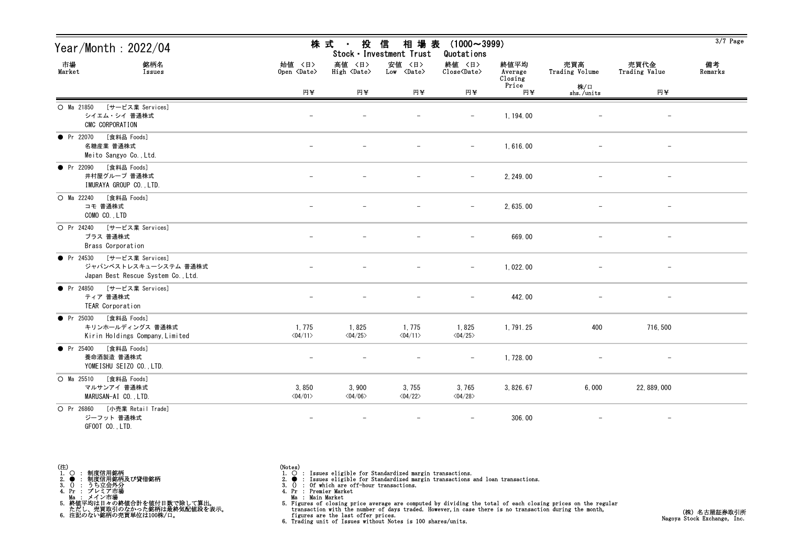| Year/Month : 2022/04                                                                       |                                         | 株 式 ・<br>投                            | 信<br>相場表<br>Stock · Investment Trust | $(1000 \sim 3999)$<br>Quotations |                            |                       |                          | $3/7$ Page    |
|--------------------------------------------------------------------------------------------|-----------------------------------------|---------------------------------------|--------------------------------------|----------------------------------|----------------------------|-----------------------|--------------------------|---------------|
| 市場<br>銘柄名<br>Market<br>Issues                                                              | 始値 〈日〉<br>Open $\langle$ Date $\rangle$ | 高値 〈日〉<br>$High \langle Date \rangle$ | 安値 <日><br>Low <date></date>          | 終値 〈日〉<br>Close <date></date>    | 終値平均<br>Average<br>Closing | 売買高<br>Trading Volume | 売買代金<br>Trading Value    | 備考<br>Remarks |
|                                                                                            | 円半                                      | 円半                                    | 円半                                   | 円半                               | Price<br>円半                | 株/口<br>shs./units     | 円半                       |               |
| ○ Ma 21850 [サービス業 Services]<br>シイエム・シイ 普通株式<br>CMC CORPORATION                             |                                         |                                       |                                      | $\overline{\phantom{0}}$         | 1, 194.00                  |                       |                          |               |
| [食料品 Foods]<br>• Pr 22070<br>名糖産業 普通株式<br>Meito Sangyo Co., Ltd.                           |                                         |                                       |                                      |                                  | 1,616.00                   |                       |                          |               |
| [食料品 Foods]<br>• Pr 22090<br>井村屋グループ 普通株式<br>IMURAYA GROUP COLTD.                          |                                         |                                       |                                      | $\overline{\phantom{0}}$         | 2, 249.00                  |                       |                          |               |
| $O$ Ma 22240<br>[食料品 Foods]<br>コモ 普通株式<br>COMO CO., LTD                                    |                                         |                                       |                                      | $\qquad \qquad -$                | 2, 635.00                  |                       | $\overline{\phantom{a}}$ |               |
| O Pr 24240<br>[サービス業 Services]<br>ブラス 普通株式<br>Brass Corporation                            |                                         |                                       |                                      | $\qquad \qquad -$                | 669.00                     |                       | $\overline{\phantom{a}}$ |               |
| ● Pr 24530 [サービス業 Services]<br>ジャパンベストレスキューシステム 普通株式<br>Japan Best Rescue System Co., Ltd. |                                         |                                       |                                      | $\overline{\phantom{0}}$         | 1,022.00                   |                       | $\overline{\phantom{m}}$ |               |
| • Pr 24850<br>[サービス業 Services]<br>ティア 普通株式<br>TEAR Corporation                             |                                         |                                       |                                      | $\qquad \qquad -$                | 442.00                     |                       |                          |               |
| [食料品 Foods]<br>• Pr $25030$<br>キリンホールディングス 普通株式<br>Kirin Holdings Company, Limited         | 1, 775<br>$\langle 04/11 \rangle$       | 1,825<br>$\langle 04/25 \rangle$      | 1,775<br>$\langle 04/11 \rangle$     | 1,825<br>$\langle 04/25 \rangle$ | 1, 791. 25                 | 400                   | 716, 500                 |               |
| [食料品 Foods]<br>• Pr $25400$<br>養命酒製造 普通株式<br>YOMEISHU SEIZO CO., LTD.                      |                                         |                                       |                                      |                                  | 1,728.00                   |                       |                          |               |
| $O$ Ma $25510$<br>[食料品 Foods]<br>マルサンアイ 普通株式<br>MARUSAN-AI CO., LTD.                       | 3,850<br>$\langle 04/01 \rangle$        | 3,900<br>$\langle 04/06 \rangle$      | 3,755<br>$\langle 04/22 \rangle$     | 3,765<br>$\langle 04/28 \rangle$ | 3, 826. 67                 | 6,000                 | 22, 889, 000             |               |
| O Pr 26860 [小売業 Retail Trade]<br>ジーフット 普通株式<br>GFOOT CO., LTD.                             |                                         |                                       |                                      |                                  | 306.00                     |                       | $-$                      |               |

(Notes)<br>1. ○ : Issues eligible for Standardized margin transactions.<br>2. ● : Issues eligible for Standardized margin transactions and loan transactions.<br>3. () : Of which are off-hour transactions.<br>4. Pr : Premier Market

Ma : Main Market<br>5. Figures of closing price average are computed by dividing the total of each closing prices on the regular<br>transaction with the number of days traded. However, in case there is no transaction during the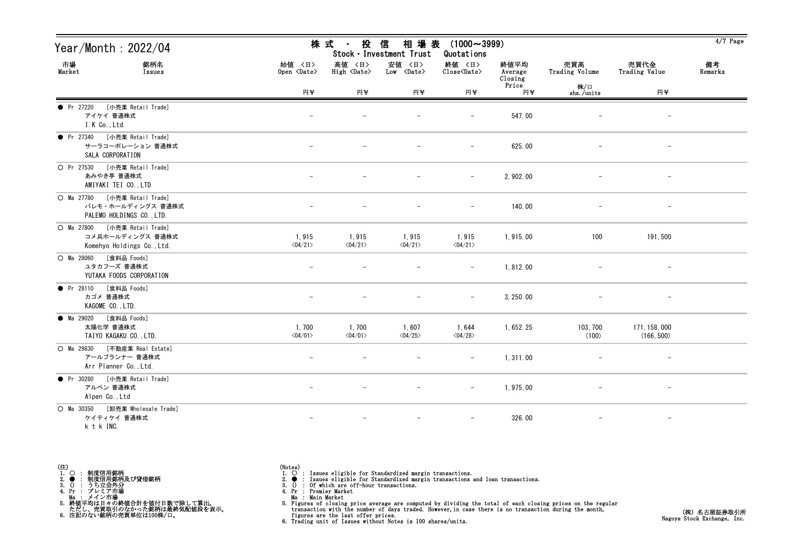| Year/Month: 2022/04                                                                    |                                  | 株 式 ・<br>投                       | 信<br>相 場 表<br>Stock · Investment Trust | $(1000 \sim 3999)$<br>Quotations |                            |                       |                             | $4/7$ Page    |
|----------------------------------------------------------------------------------------|----------------------------------|----------------------------------|----------------------------------------|----------------------------------|----------------------------|-----------------------|-----------------------------|---------------|
| 市場<br>銘柄名<br>Market<br>Issues                                                          | 始値 〈日〉<br>Open <date></date>     | 高値 〈日〉<br>High <date></date>     | 安値 〈日〉<br>$Low \langle Date \rangle$   | 終値 〈日〉<br>Close <date></date>    | 終値平均<br>Average<br>Closing | 売買高<br>Trading Volume | 売買代金<br>Trading Value       | 備考<br>Remarks |
|                                                                                        | 円半                               | 円半                               | 円半                                     | 円半                               | Price<br>円半                | 株/口<br>shs./units     | 円半                          |               |
| • Pr 27220<br>[小売業 Retail Trade]<br>アイケイ 普通株式<br>I.K Co., Ltd.                         |                                  |                                  |                                        | $\overline{\phantom{m}}$         | 547.00                     |                       |                             |               |
| ● Pr 27340 [小売業 Retail Trade]<br>サーラコーポレーション 普通株式<br>SALA CORPORATION                  |                                  |                                  |                                        |                                  | 625.00                     |                       |                             |               |
| [小売業 Retail Trade]<br>O Pr 27530<br>あみやき亭 普通株式<br>AMIYAKI TEI CO., LTD                 |                                  |                                  |                                        |                                  | 2, 902. 00                 |                       |                             |               |
| [小売業 Retail Trade]<br>O Ma 27780<br>パレモ・ホールディングス 普通株式<br>PALEMO HOLDINGS CO., LTD.     | $\overline{\phantom{0}}$         |                                  | $\overline{\phantom{a}}$               | $\overline{\phantom{m}}$         | 140.00                     |                       | $\overline{\phantom{m}}$    |               |
| [小売業 Retail Trade]<br>$O$ Ma $27800$<br>コメ兵ホールディングス 普通株式<br>Komehyo Holdings Co., Ltd. | 1,915<br>$\langle 04/21 \rangle$ | 1,915<br>$\langle 04/21 \rangle$ | 1,915<br>$\langle 04/21 \rangle$       | 1,915<br>$\langle 04/21 \rangle$ | 1,915.00                   | 100                   | 191,500                     |               |
| O Ma 28060 [食料品 Foods]<br>ユタカフーズ 普通株式<br>YUTAKA FOODS CORPORATION                      | $\overline{\phantom{a}}$         | $\overline{\phantom{0}}$         | $\overline{\phantom{m}}$               | $-$                              | 1,812.00                   | $\qquad \qquad -$     | $\overline{\phantom{a}}$    |               |
| [食料品 Foods]<br>• Pr 28110<br>カゴメ 普通株式<br>KAGOME CO., LTD.                              |                                  |                                  |                                        | $\overline{\phantom{a}}$         | 3, 250, 00                 |                       | $\overline{\phantom{m}}$    |               |
| [食料品 Foods]<br>● Ma 29020<br>太陽化学 普通株式<br>TAIYO KAGAKU CO., LTD.                       | 1,700<br>$\langle 04/01 \rangle$ | 1,700<br>$\langle 04/01 \rangle$ | 1,607<br>$\langle 04/25 \rangle$       | 1,644<br>$<04/28$                | 1, 652. 25                 | 103, 700<br>(100)     | 171, 158, 000<br>(166, 500) |               |
| [不動産業 Real Estate]<br>$O$ Ma 29830<br>アールプランナー 普通株式<br>Arr Planner Co., Ltd.           |                                  |                                  |                                        | $\overline{\phantom{a}}$         | 1, 311.00                  |                       |                             |               |
| ● Pr 30280 [小売業 Retail Trade]<br>アルペン 普通株式<br>Alpen Co., Ltd                           |                                  |                                  |                                        | $\overline{\phantom{m}}$         | 1, 975.00                  |                       | $\qquad \qquad -$           |               |
| [卸売業 Wholesale Trade]<br>$O$ Ma $30350$<br>ケイティケイ 普通株式<br><b>LELL THO</b>              |                                  |                                  |                                        | $\overline{\phantom{a}}$         | 326.00                     |                       | $\qquad \qquad -$           |               |

k t k INC.

(注)<br>1.○ : 制度信用銘柄<br>3.● : 制度信用銘柄及び貸借銘柄<br>3.() : うち立会外分<br>4.Pr : プレミア市場 Ma : メイン市場 5. 終値平均は日々の終値合計を値付日数で除して算出。 ただし、売買取引のなかった銘柄は最終気配値段を表示。 6. 注記のない銘柄の売買単位は100株/口。

(Notes)<br>1. ○ : Issues eligible for Standardized margin transactions.<br>2. ● : Issues eligible for Standardized margin transactions and loan transactions.<br>3. () : Of which are off-hour transactions.<br>4. Pr : Premier Market

Ma : Main Market<br>5. Figures of closing price average are computed by dividing the total of each closing prices on the regular<br>transaction with the number of days traded. However, in case there is no transaction during the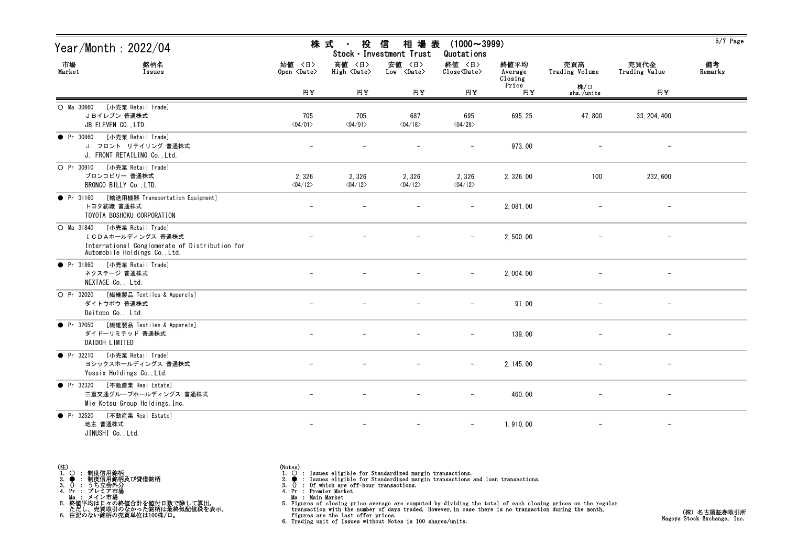| Year/Month : 2022/04                                                                                                                       |                                  | 株 式<br>投<br>$\blacksquare$       | 相場表<br>信<br>Stock · Investment Trust | $(1000 \sim 3999)$<br>Quotations |                            |                       |                       | $5/7$ Page    |
|--------------------------------------------------------------------------------------------------------------------------------------------|----------------------------------|----------------------------------|--------------------------------------|----------------------------------|----------------------------|-----------------------|-----------------------|---------------|
| 市場<br>銘柄名<br>Market<br>Issues                                                                                                              | 始值 〈日〉<br>Open <date></date>     | 高値 〈日〉<br>High <date></date>     | 安値 〈日〉<br>$Low \langle Date \rangle$ | 終値 〈日〉<br>Close <date></date>    | 終値平均<br>Average<br>Closing | 売買高<br>Trading Volume | 売買代金<br>Trading Value | 備考<br>Remarks |
|                                                                                                                                            | 円半                               | 円半                               | 円半                                   | 円半                               | Price<br>円半                | 株/口<br>shs./units     | 円半                    |               |
| [小売業 Retail Trade]<br>O Ma 30660<br>JBイレブン 普通株式<br>JB ELEVEN CO., LTD.                                                                     | 705<br>$\langle 04/01 \rangle$   | 705<br>$\langle 04/01 \rangle$   | 687<br>$\langle 04/18 \rangle$       | 695<br>$\langle 04/28 \rangle$   | 695.25                     | 47,800                | 33, 204, 400          |               |
| [小売業 Retail Trade]<br>• Pr 30860<br>J. フロント リテイリング 普通株式<br>J. FRONT RETAILING Co., Ltd.                                                    |                                  |                                  |                                      |                                  | 973.00                     |                       |                       |               |
| [小売業 Retail Trade]<br>O Pr 30910<br>ブロンコビリー 普通株式<br>BRONCO BILLY Co., LTD.                                                                 | 2,326<br>$\langle 04/12 \rangle$ | 2,326<br>$\langle 04/12 \rangle$ | 2,326<br>$\langle 04/12 \rangle$     | 2,326<br>$\langle 04/12 \rangle$ | 2, 326.00                  | 100                   | 232, 600              |               |
| [輸送用機器 Transportation Equipment]<br>• Pr 31160<br>トヨタ紡織 普通株式<br>TOYOTA BOSHOKU CORPORATION                                                 |                                  |                                  |                                      |                                  | 2,081.00                   |                       |                       |               |
| [小売業 Retail Trade]<br>$O$ Ma 31840<br>ICDAホールディングス 普通株式<br>International Conglomerate of Distribution for<br>Automobile Holdings Co., Ltd. |                                  |                                  |                                      | $-$                              | 2,500.00                   |                       | $-$                   |               |
| [小売業 Retail Trade]<br>• Pr $31860$<br>ネクステージ 普通株式<br>NEXTAGE Co., Ltd.                                                                     |                                  |                                  |                                      | $\overline{\phantom{m}}$         | 2, 004. 00                 |                       | $-$                   |               |
| O Pr 32020<br>[繊維製品 Textiles & Apparels]<br>ダイトウボウ 普通株式<br>Daitobo Co., Ltd.                                                               |                                  |                                  |                                      |                                  | 91.00                      |                       |                       |               |
| [繊維製品 Textiles & Apparels]<br>$\bullet$ Pr 32050<br>ダイドーリミテッド 普通株式<br>DAIDOH LIMITED                                                       |                                  |                                  |                                      | $-$                              | 139.00                     |                       | $\qquad \qquad -$     |               |
| • Pr 32210<br>[小売業 Retail Trade]<br>ヨシックスホールディングス 普通株式<br>Yossix Holdings Co., Ltd.                                                        |                                  |                                  |                                      | $\overline{\phantom{m}}$         | 2, 145.00                  |                       |                       |               |
| [不動産業 Real Estate]<br>• Pr 32320<br>三重交通グループホールディングス 普通株式<br>Mie Kotsu Group Holdings, Inc.                                                |                                  |                                  |                                      |                                  | 460.00                     |                       |                       |               |
| ● Pr 32520 [不動産業 Real Estate]<br>地主 普通株式<br>JINUSHI Co., Ltd.                                                                              |                                  |                                  | $\qquad \qquad -$                    |                                  | 1,910.00                   |                       | $\qquad \qquad -$     |               |

(Notes)<br>1. ○ : Issues eligible for Standardized margin transactions.<br>2. ● : Issues eligible for Standardized margin transactions and loan transactions.<br>3. () : Of which are off-hour transactions.<br>4. Pr : Premier Market

Ma : Main Market<br>5. Figures of closing price average are computed by dividing the total of each closing prices on the regular<br>transaction with the number of days traded. However, in case there is no transaction during the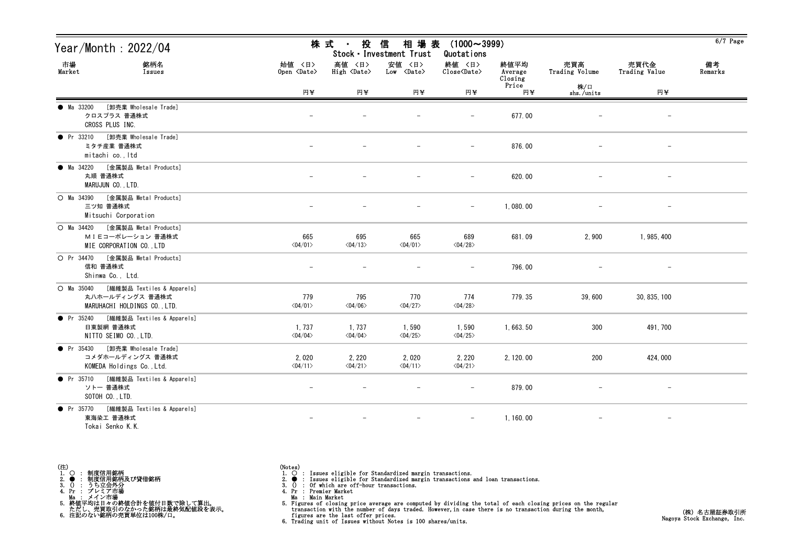| Year/Month: 2022/04                                                                           |                                         | 株 式<br>投<br>$\sim 10^{-11}$       | 信<br>相場表<br>Stock · Investment Trust | $(1000 \sim 3999)$<br>Quotations  |                            |                       |                          | $6/7$ Page    |
|-----------------------------------------------------------------------------------------------|-----------------------------------------|-----------------------------------|--------------------------------------|-----------------------------------|----------------------------|-----------------------|--------------------------|---------------|
| 市場<br>銘柄名<br>Market<br>Issues                                                                 | 始値 〈日〉<br>Open $\langle$ Date $\rangle$ | 高値 〈日〉<br>High<br><b>Cate&gt;</b> | 安値 〈日〉<br>$Low \times Date$          | 終値 〈日〉<br>Close <date></date>     | 終値平均<br>Average<br>Closing | 売買高<br>Trading Volume | 売買代金<br>Trading Value    | 備考<br>Remarks |
|                                                                                               | 円半                                      | 円半                                | 円半                                   | 円半                                | Price<br>円半                | 株/口<br>shs./units     | 円半                       |               |
| [卸売業 Wholesale Trade]<br>• Ma 33200<br>クロスプラス 普通株式<br>CROSS PLUS INC.                         |                                         |                                   |                                      |                                   | 677.00                     |                       |                          |               |
| [卸売業 Wholesale Trade]<br>$\bullet$ Pr 33210<br>ミタチ産業 普通株式<br>mitachi co., Itd                 |                                         |                                   |                                      |                                   | 876.00                     |                       |                          |               |
| [金属製品 Metal Products]<br>$\bullet$ Ma 34220<br>丸順 普通株式<br>MARUJUN CO., LTD.                   |                                         |                                   | $\overline{\phantom{0}}$             |                                   | 620.00                     |                       | $\overline{\phantom{m}}$ |               |
| O Ma 34390 [金属製品 Metal Products]<br>三ツ知 普通株式<br>Mitsuchi Corporation                          |                                         |                                   |                                      | $\overline{\phantom{m}}$          | 1,080.00                   |                       |                          |               |
| [金属製品 Metal Products]<br>$O$ Ma $34420$<br>MIEコーポレーション 普通株式<br>MIE CORPORATION CO., LTD       | 665<br>$\langle 04/01 \rangle$          | 695<br>$\langle 04/13 \rangle$    | 665<br>$\langle 04/01 \rangle$       | 689<br>$\langle 04/28 \rangle$    | 681.09                     | 2,900                 | 1, 985, 400              |               |
| [金属製品 Metal Products]<br>O Pr 34470<br>信和 普通株式<br>Shinwa Co., Ltd.                            |                                         |                                   |                                      |                                   | 796.00                     |                       |                          |               |
| $O$ Ma 35040<br>[繊維製品 Textiles & Apparels]<br>丸八ホールディングス 普通株式<br>MARUHACHI HOLDINGS CO., LTD. | 779<br>$\langle 04/01 \rangle$          | 795<br>$\langle 04/06 \rangle$    | 770<br>$\langle 04/27 \rangle$       | 774<br>$\langle 04/28 \rangle$    | 779.35                     | 39,600                | 30, 835, 100             |               |
| [繊維製品 Textiles & Apparels]<br>$\bullet$ Pr 35240<br>日東製網 普通株式<br>NITTO SEIMO CO., LTD.        | 1,737<br>$\langle 04/04 \rangle$        | 1,737<br>$\langle 04/04 \rangle$  | 1,590<br>$\langle 04/25 \rangle$     | 1,590<br>$\langle 04/25 \rangle$  | 1,663.50                   | 300                   | 491, 700                 |               |
| [卸売業 Wholesale Trade]<br>$\bullet$ Pr 35430<br>コメダホールディングス 普通株式<br>KOMEDA Holdings Co., Ltd.  | 2,020<br>$\langle 04/11 \rangle$        | 2, 220<br>$\langle 04/21 \rangle$ | 2,020<br>$\langle 04/11 \rangle$     | 2, 220<br>$\langle 04/21 \rangle$ | 2, 120.00                  | 200                   | 424,000                  |               |
| [繊維製品 Textiles & Apparels]<br>$\bullet$ Pr 35710<br>ソトー 普通株式<br>SOTOH CO., LTD.               | $\overline{\phantom{0}}$                |                                   |                                      |                                   | 879.00                     |                       | $\overline{\phantom{m}}$ |               |
| [繊維製品 Textiles & Apparels]<br>$\bullet$ Pr 35770<br>東海染工 普通株式<br>Tokai Senko K.K.             |                                         |                                   |                                      | $\overline{\phantom{m}}$          | 1, 160.00                  |                       |                          |               |

(Notes)<br>1. ○ : Issues eligible for Standardized margin transactions.<br>2. ● : Issues eligible for Standardized margin transactions and loan transactions.<br>3. () : Of which are off-hour transactions.<br>4. Pr : Premier Market

Ma : Main Market<br>5. Figures of closing price average are computed by dividing the total of each closing prices on the regular<br>transaction with the number of days traded. However, in case there is no transaction during the